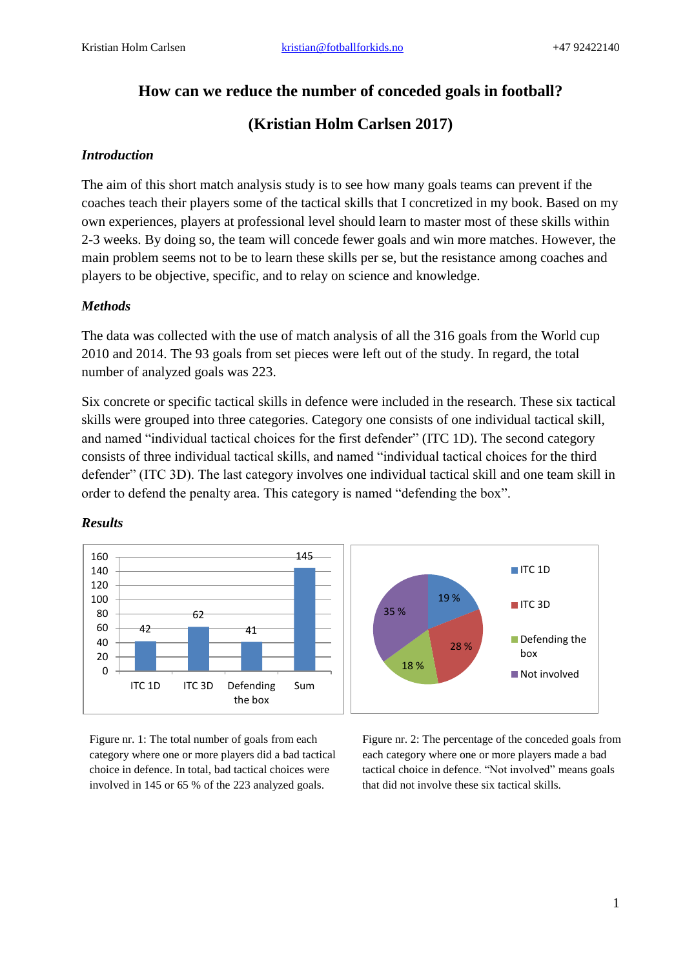## **How can we reduce the number of conceded goals in football?**

# **(Kristian Holm Carlsen 2017)**

#### *Introduction*

The aim of this short match analysis study is to see how many goals teams can prevent if the coaches teach their players some of the tactical skills that I concretized in my book. Based on my own experiences, players at professional level should learn to master most of these skills within 2-3 weeks. By doing so, the team will concede fewer goals and win more matches. However, the main problem seems not to be to learn these skills per se, but the resistance among coaches and players to be objective, specific, and to relay on science and knowledge.

#### *Methods*

The data was collected with the use of match analysis of all the 316 goals from the World cup 2010 and 2014. The 93 goals from set pieces were left out of the study. In regard, the total number of analyzed goals was 223.

Six concrete or specific tactical skills in defence were included in the research. These six tactical skills were grouped into three categories. Category one consists of one individual tactical skill, and named "individual tactical choices for the first defender" (ITC 1D). The second category consists of three individual tactical skills, and named "individual tactical choices for the third defender" (ITC 3D). The last category involves one individual tactical skill and one team skill in order to defend the penalty area. This category is named "defending the box".



## *Results*

Figure nr. 1: The total number of goals from each category where one or more players did a bad tactical choice in defence. In total, bad tactical choices were involved in 145 or 65 % of the 223 analyzed goals.